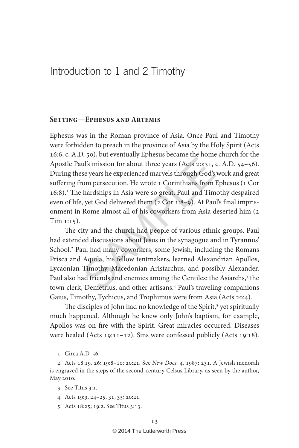# Introduction to 1 and 2 Timothy

#### **Setting—Ephesus and Artemis**

The Consumer Consumer Consumer State Consumingly in the speak of the specifical scores years he experienced marvels through God's compersecution. He wrote 1 Corinthians from thardships in Asia were so great, Paul and Time, Ephesus was in the Roman province of Asia. Once Paul and Timothy were forbidden to preach in the province of Asia by the Holy Spirit (Acts 16:6, c. A.D. 50), but eventually Ephesus became the home church for the Apostle Paul's mission for about three years (Acts 20:31, c. A.D. 54–56). During these years he experienced marvels through God's work and great suffering from persecution. He wrote 1 Corinthians from Ephesus (1 Cor 16:8). 1 The hardships in Asia were so great, Paul and Timothy despaired even of life, yet God delivered them (2 Cor 1:8–9). At Paul's final imprisonment in Rome almost all of his coworkers from Asia deserted him (2 Tim 1:15).

The city and the church had people of various ethnic groups. Paul had extended discussions about Jesus in the synagogue and in Tyrannus' School. 2 Paul had many coworkers, some Jewish, including the Romans Prisca and Aquila, his fellow tentmakers, learned Alexandrian Apollos, Lycaonian Timothy, Macedonian Aristarchus, and possibly Alexander. Paul also had friends and enemies among the Gentiles: the Asiarchs,<sup>3</sup> the town clerk, Demetrius, and other artisans. 4 Paul's traveling companions Gaius, Timothy, Tychicus, and Trophimus were from Asia (Acts 20:4).

The disciples of John had no knowledge of the Spirit,<sup>5</sup> yet spiritually much happened. Although he knew only John's baptism, for example, Apollos was on fire with the Spirit. Great miracles occurred. Diseases were healed (Acts 19:11–12). Sins were confessed publicly (Acts 19:18).

2. Acts 18:19, 26; 19:8–10; 20:21. See New Docs. 4, 1987: 231. A Jewish menorah is engraved in the steps of the second-century Celsus Library, as seen by the author, May 2010.

- 4. Acts 19:9, 24–25, 31, 35; 20:21.
- 5. Acts 18:25; 19:2. See Titus 3:13.

<sup>1.</sup> Circa A.D. 56.

<sup>3.</sup> See Titus 3:1.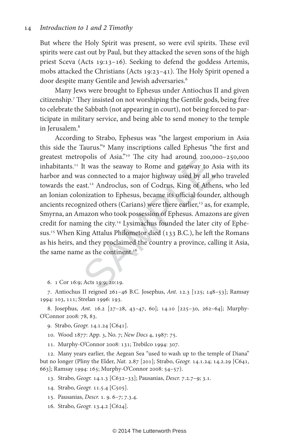But where the Holy Spirit was present, so were evil spirits. These evil spirits were cast out by Paul, but they attacked the seven sons of the high priest Sceva (Acts 19:13–16). Seeking to defend the goddess Artemis, mobs attacked the Christians (Acts 19:23–41). The Holy Spirit opened a door despite many Gentile and Jewish adversaries. 6

Many Jews were brought to Ephesus under Antiochus II and given citizenship. 7 They insisted on not worshiping the Gentile gods, being free to celebrate the Sabbath (not appearing in court), not being forced to participate in military service, and being able to send money to the temple in Jerusalem. 8

pois of Asia. The City had around 200,0<br>It was the seaway to Rome and gateway to A<br>as connected to a major highway used by all w<br>ast.<sup>12</sup> Androclus, son of Codrus, King of Athe<br>onization to Ephesus, became its official fou According to Strabo, Ephesus was "the largest emporium in Asia this side the Taurus." 9 Many inscriptions called Ephesus "the first and greatest metropolis of Asia."10 The city had around 200,000–250,000 inhabitants.11 It was the seaway to Rome and gateway to Asia with its harbor and was connected to a major highway used by all who traveled towards the east.12 Androclus, son of Codrus, King of Athens, who led an Ionian colonization to Ephesus, became its official founder, although ancients recognized others (Carians) were there earlier,<sup>13</sup> as, for example, Smyrna, an Amazon who took possession of Ephesus. Amazons are given credit for naming the city.14 Lysimachus founded the later city of Ephesus.15 When King Attalus Philometor died (133 B.C.), he left the Romans as his heirs, and they proclaimed the country a province, calling it Asia, the same name as the continent.<sup>16</sup>

6. 1 Cor 16:9; Acts 19:9; 20:19.

7. Antiochus II reigned 261–46 B.C. Josephus, Ant. 12.3 [125; 148–53]; Ramsay 1994: 103, 111; Strelan 1996: 193.

8. Josephus, Ant. 16.2 [27–28, 43–47, 60]; 14.10 [225–30, 262–64]; Murphy-O'Connor 2008: 78, 83.

9. Strabo, Geogr. 14.1.24 [C641].

10. Wood 1877: App. 3, No. 7; New Docs 4, 1987: 75.

11. Murphy-O'Connor 2008: 131; Trebilco 1994: 307.

12. Many years earlier, the Aegean Sea "used to wash up to the temple of Diana" but no longer (Pliny the Elder, *Nat.* 2.87 [201]; Strabo, *Geogr.* 14.1.24; 14.2.29 [C641, 663]; Ramsay 1994: 165; Murphy-O'Connor 2008: 54–57).

13. Strabo, Geogr. 14.1.3 [C632–33]; Pausanias, Descr. 7.2.7–9; 3.1.

14. Strabo, Geogr. 11.5.4 [C505].

15. Pausanias, Descr. 1. 9. 6–7; 7.3.4.

16. Strabo, Geogr. 13.4.2 [C624].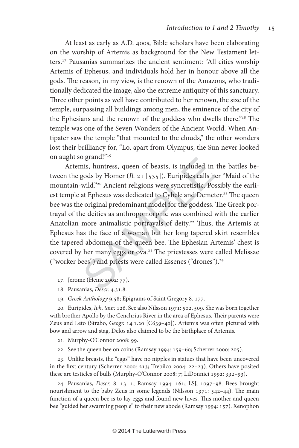At least as early as A.D. 400s, Bible scholars have been elaborating on the worship of Artemis as background for the New Testament letters.17 Pausanias summarizes the ancient sentiment: "All cities worship Artemis of Ephesus, and individuals hold her in honour above all the gods. The reason, in my view, is the renown of the Amazons, who traditionally dedicated the image, also the extreme antiquity of this sanctuary. Three other points as well have contributed to her renown, the size of the temple, surpassing all buildings among men, the eminence of the city of the Ephesians and the renown of the goddess who dwells there."<sup>18</sup> The temple was one of the Seven Wonders of the Ancient World. When Antipater saw the temple "that mounted to the clouds," the other wonders lost their brilliancy for, "Lo, apart from Olympus, the Sun never looked on aught so grand!"19

nis, huntress, queen of beasts, is included in<br>gods by Homer (*Il.* 21 [535]). Euripides calls h<br>wild."<sup>20</sup> Ancient religions were syncretistic. Pos<br>at Ephesus was dedicated to Cybele and Demet<br>e original predominant mode Artemis, huntress, queen of beasts, is included in the battles between the gods by Homer (Il. 21 [535]). Euripides calls her "Maid of the mountain-wild."20 Ancient religions were syncretistic. Possibly the earliest temple at Ephesus was dedicated to Cybele and Demeter.<sup>21</sup> The queen bee was the original predominant model for the goddess. The Greek portrayal of the deities as anthropomorphic was combined with the earlier Anatolian more animalistic portrayals of deity.<sup>22</sup> Thus, the Artemis at Ephesus has the face of a woman but her long tapered skirt resembles the tapered abdomen of the queen bee. The Ephesian Artemis' chest is covered by her many eggs or ova.<sup>23</sup> The priestesses were called Melissae ("worker bees") and priests were called Essenes ("drones").24

- 17. Jerome (Heine 2002: 77).
- 18. Pausanias, Descr. 4.31.8.
- 19. Greek Anthology 9.58; Epigrams of Saint Gregory 8. 177.

20. Euripides, Iph. taur. 126. See also Nilsson 1971: 502, 509. She was born together with brother Apollo by the Cenchrius River in the area of Ephesus. Their parents were Zeus and Leto (Strabo, Geogr. 14.1.20 [C639-40]). Artemis was often pictured with bow and arrow and stag. Delos also claimed to be the birthplace of Artemis.

21. Murphy-O'Connor 2008: 99.

22. See the queen bee on coins (Ramsay 1994: 159–60; Scherrer 2000: 205).

23. Unlike breasts, the "eggs" have no nipples in statues that have been uncovered in the first century (Scherrer 2000: 213; Trebilco 2004: 22–23). Others have posited these are testicles of bulls (Murphy-O'Connor 2008: 7; LiDonnici 1992: 392–93).

24. Pausanias, Descr. 8. 13. 1; Ramsay 1994: 161; LSJ, 1097–98. Bees brought nourishment to the baby Zeus in some legends (Nilsson 1971: 542–44). The main function of a queen bee is to lay eggs and found new hives. This mother and queen bee "guided her swarming people" to their new abode (Ramsay 1994: 157). Xenophon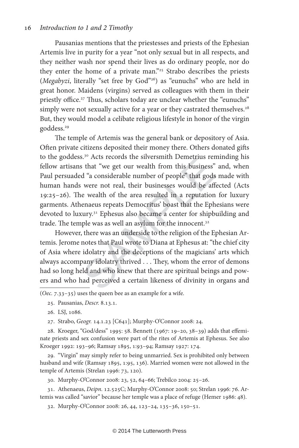#### 16 Introduction to 1 and 2 Timothy

Pausanias mentions that the priestesses and priests of the Ephesian Artemis live in purity for a year "not only sexual but in all respects, and they neither wash nor spend their lives as do ordinary people, nor do they enter the home of a private man."<sup>25</sup> Strabo describes the priests (*Megabyzi*, literally "set free by God"<sup>26</sup>) as "eunuchs" who are held in great honor. Maidens (virgins) served as colleagues with them in their priestly office.<sup>27</sup> Thus, scholars today are unclear whether the "eunuchs" simply were not sexually active for a year or they castrated themselves.<sup>28</sup> But, they would model a celibate religious lifestyle in honor of the virgin goddess.<sup>29</sup>

S.<sup>5</sup> Acts records the shvershill Definitions fermions and "a considerable number of people" that gods were not real, their businesses would be affect were not real, their businesses would be affect wealth of the area res The temple of Artemis was the general bank or depository of Asia. Often private citizens deposited their money there. Others donated gifts to the goddess.30 Acts records the silversmith Demetrius reminding his fellow artisans that "we get our wealth from this business" and, when Paul persuaded "a considerable number of people" that gods made with human hands were not real, their businesses would be affected (Acts 19:25–26). The wealth of the area resulted in a reputation for luxury garments. Athenaeus repeats Democritus' boast that the Ephesians were devoted to luxury.31 Ephesus also became a center for shipbuilding and trade. The temple was as well an asylum for the innocent.<sup>32</sup>

However, there was an underside to the religion of the Ephesian Artemis. Jerome notes that Paul wrote to Diana at Ephesus at: "the chief city of Asia where idolatry and the deceptions of the magicians' arts which always accompany idolatry thrived . . . They, whom the error of demons had so long held and who knew that there are spiritual beings and powers and who had perceived a certain likeness of divinity in organs and  $\overline{(Oec. 7.33-35)}$  uses the queen bee as an example for a wife.

25. Pausanias, Descr. 8.13.1.

26. LSJ, 1086.

27. Strabo, Geogr. 14.1.23 [C641]; Murphy-O'Connor 2008: 24.

28. Kroeger, "God/dess" 1995: 58. Bennett (1967: 19–20, 38–39) adds that effeminate priests and sex confusion were part of the rites of Artemis at Ephesus. See also Kroeger 1992: 193–96; Ramsay 1895, 1:93–94; Ramsay 1927: 174.

29. "Virgin" may simply refer to being unmarried. Sex is prohibited only between husband and wife (Ramsay 1895, 1:95, 136). Married women were not allowed in the temple of Artemis (Strelan 1996: 73, 120).

30. Murphy-O'Connor 2008: 23, 52, 64–66; Trebilco 2004: 25–26.

31. Athenaeus, Deipn. 12.525C; Murphy-O'Connor 2008: 50; Strelan 1996: 76. Artemis was called "savior" because her temple was a place of refuge (Hemer 1986: 48).

32. Murphy-O'Connor 2008: 26, 44, 123–24, 135–36, 150–51.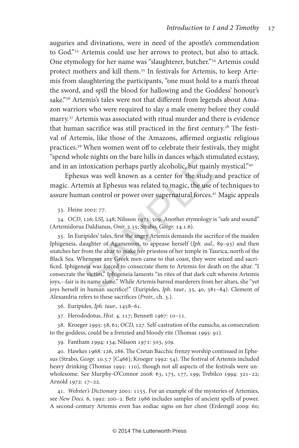auguries and divinations, were in need of the apostle's commendation to God."33 Artemis could use her arrows to protect, but also to attack. One etymology for her name was "slaughterer, butcher."34 Artemis could protect mothers and kill them.<sup>35</sup> In festivals for Artemis, to keep Artemis from slaughtering the participants, "one must hold to a man's throat the sword, and spill the blood for hallowing and the Goddess' honour's sake."<sup>36</sup> Artemis's tales were not that different from legends about Amazon warriors who were required to slay a male enemy before they could marry.37 Artemis was associated with ritual murder and there is evidence that human sacrifice was still practiced in the first century.<sup>38</sup> The festival of Artemis, like those of the Amazons, affirmed orgiastic religious practices.39 When women went off to celebrate their festivals, they might "spend whole nights on the bare hills in dances which stimulated ecstasy, and in an intoxication perhaps partly alcoholic, but mainly mystical."40

Ephesus was well known as a center for the study and practice of magic. Artemis at Ephesus was related to magic, the use of techniques to assure human control or power over supernatural forces.<sup>41</sup> Magic appeals

33. Heine 2002: 77.

34. OCD, 126; LSJ, 248; Nilsson 1971: 509. Another etymology is "safe and sound" (Artemidorus Daldianus, Onir. 2.35; Strabo, Geogr. 14.1.6).

ole inglits on the bare fills in dances which still<br>ntoxication perhaps partly alcoholic, but mainl<br>sus was well known as a center for the study :<br>emis at Ephesus was related to magic, the use o<br>nan control or power over s 35. In Euripides' tales, first the angry Artemis demands the sacrifice of the maiden Iphigeneia, daughter of Agamemon, to appease herself (Iph. aul., 89–93) and then snatches her from the altar to make her priestess of her temple in Taurica, north of the Black Sea. Whenever any Greek men came to that coast, they were seized and sacrificed. Iphigeneia was forced to consecrate them to Artemis for death on the altar. "I consecrate the victim," Iphigeneia laments "in rites of that dark cult wherein Artemis joys,--fair is its name alone." While Artemis barred murderers from her altars, she "yet joys herself in human sacrifice!" (Euripides, Iph. taur., 35, 40, 381-84). Clement of Alexandria refers to these sacrifices (Protr., ch. 3.).

36. Euripides, Iph. taur., 1458–61.

37. Herododotus, Hist. 4. 117; Bennett 1967: 10–11.

38. Kroeger 1995: 58, 61; OCD, 127. Self-castration of the eunuchs, as consecration to the goddess, could be a frenzied and bloody rite (Thomas 1995: 91).

39. Fantham 1994: 134; Nilsson 1971: 503, 509.

40. Hawkes 1968: 126, 286. The Cretan Bacchic frenzy worship continued in Ephesus (Strabo, Geogr. 10.3.7 [C466]; Kroeger 1992: 54). The festival of Artemis included heavy drinking (Thomas 1995: 110), though not all aspects of the festivals were unwholesome. See Murphy-O'Connor 2008: 63, 175, 177, 199; Trebilco 1994: 321–22; Arnold 1972: 17–22.

41. Webster's Dictionary 2001: 1155. For an example of the mysteries of Artemies, see New Docs. 6, 1992: 200–2. Betz 1986 includes samples of ancient spells of power. A second-century Artemis even has zodiac signs on her chest (Erdemgil 2009: 60;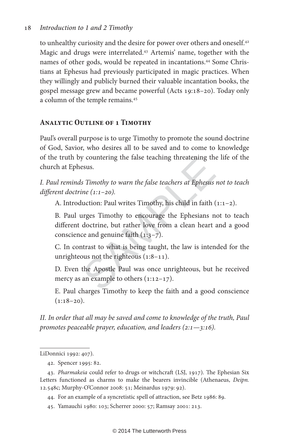### 18 Introduction to 1 and 2 Timothy

to unhealthy curiosity and the desire for power over others and oneself.<sup>42</sup> Magic and drugs were interrelated.43 Artemis' name, together with the names of other gods, would be repeated in incantations.<sup>44</sup> Some Christians at Ephesus had previously participated in magic practices. When they willingly and publicly burned their valuable incantation books, the gospel message grew and became powerful (Acts 19:18–20). Today only a column of the temple remains.45

## **Analytic Outline of 1 Timothy**

Paul's overall purpose is to urge Timothy to promote the sound doctrine of God, Savior, who desires all to be saved and to come to knowledge of the truth by countering the false teaching threatening the life of the church at Ephesus.

I. Paul reminds Timothy to warn the false teachers at Ephesus not to teach different doctrine (1:1–20).

A. Introduction: Paul writes Timothy, his child in faith (1:1–2).

between the false teachers at Ephesius.<br>
S Timothy to warn the false teachers at Ephesius<br>
ine (1:1–20).<br>
luction: Paul writes Timothy, his child in faith (<br>
urges Timothy to encourage the Ephesians n<br>
doctrine, but rathe B. Paul urges Timothy to encourage the Ephesians not to teach different doctrine, but rather love from a clean heart and a good conscience and genuine faith  $(1:3-7)$ .

 C. In contrast to what is being taught, the law is intended for the unrighteous not the righteous (1:8–11).

 D. Even the Apostle Paul was once unrighteous, but he received mercy as an example to others  $(1:12-17)$ .

 E. Paul charges Timothy to keep the faith and a good conscience  $(1:18-20)$ .

II. In order that all may be saved and come to knowledge of the truth, Paul promotes peaceable prayer, education, and leaders  $(2:1-\frac{3:16}{\cdot})$ .

44. For an example of a syncretistic spell of attraction, see Betz 1986: 89.

LiDonnici 1992: 407).

<sup>42.</sup> Spencer 1995: 82.

<sup>43.</sup> Pharmakeia could refer to drugs or witchcraft (LSJ, 1917). The Ephesian Six Letters functioned as charms to make the bearers invincible (Athenaeus, Deipn. 12.548c; Murphy-O'Connor 2008: 51; Meinardus 1979: 92).

<sup>45.</sup> Yamauchi 1980: 103; Scherrer 2000: 57; Ramsay 2001: 213.